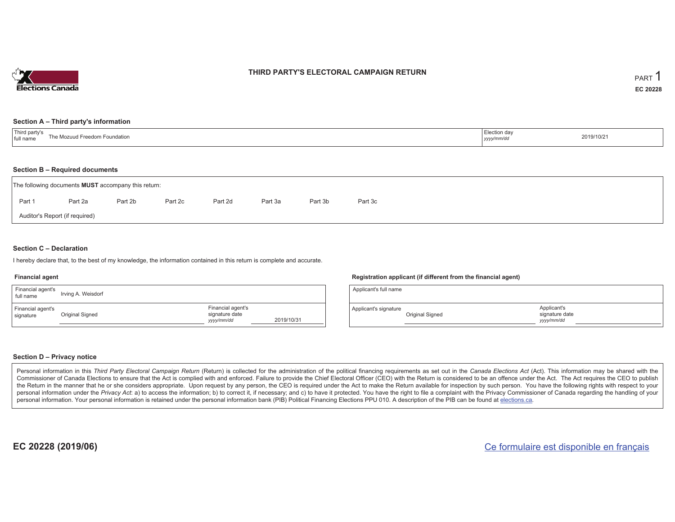

### **THIRD PARTY'S ELECTORAL CAMPAIGN RETURN**

#### **Section A – Third party's information**

| Third party's<br>The Mozuud Freedom Foundation<br>full name | Election day<br>yyyy/mm/dd | 2019/10/21 |
|-------------------------------------------------------------|----------------------------|------------|
|-------------------------------------------------------------|----------------------------|------------|

#### **Section B – Required documents**

|        | The following documents <b>MUST</b> accompany this return: |         |         |         |         |         |         |  |
|--------|------------------------------------------------------------|---------|---------|---------|---------|---------|---------|--|
| Part 1 | Part 2a                                                    | Part 2b | Part 2c | Part 2d | Part 3a | Part 3b | Part 3c |  |
|        | Auditor's Report (if required)                             |         |         |         |         |         |         |  |

### **Section C – Declaration**

I hereby declare that, to the best of my knowledge, the information contained in this return is complete and accurate.

#### **Financial agent**

| Financial agent's<br>full name | Irving A. Weisdorf |                                                   |            |
|--------------------------------|--------------------|---------------------------------------------------|------------|
| Financial agent's<br>signature | Original Signed    | Financial agent's<br>signature date<br>yyyy/mm/dd | 2019/10/31 |

#### **Registration applicant (if different from the financial agent)**

| Applicant's full name |                 |                                             |  |
|-----------------------|-----------------|---------------------------------------------|--|
| Applicant's signature | Original Signed | Applicant's<br>signature date<br>yyyy/mm/dd |  |

#### **Section D – Privacy notice**

Personal information in this Third Party Electoral Campaign Return (Return) is collected for the administration of the political financing requirements as set out in the Canada Elections Act (Act). This information may be Commissioner of Canada Elections to ensure that the Act is complied with and enforced. Failure to provide the Chief Electoral Officer (CEO) with the Return is considered to be an offence under the Act. The Act requires the the Return in the manner that he or she considers appropriate. Upon request by any person, the CEO is required under the Act to make the Return available for inspection by such person. You have the following rights with re personal information under the Privacy Act: a) to access the information; b) to correct it, if necessary; and c) to have it protected. You have the right to file a complaint with the Privacy Commissioner of Canada regardin personal information. Your personal information is retained under the personal information bank (PIB) Political Financing Elections PPU 010. A description of the PIB can be found at elections.ca.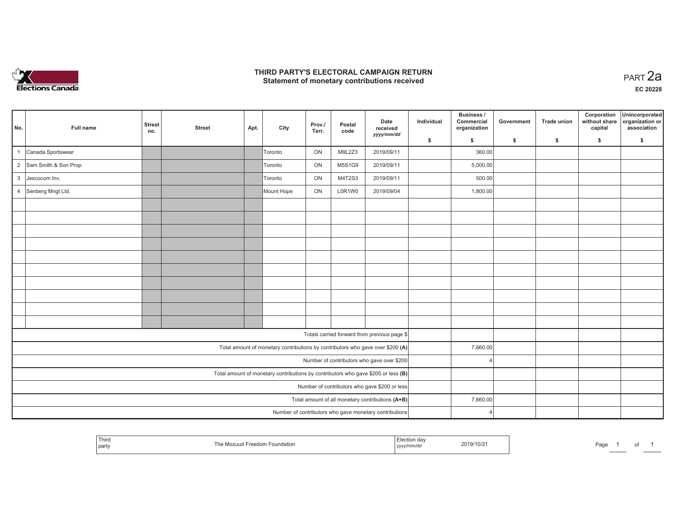

### **THIRD PARTY'S ELECTORAL CAMPAIGN RETURN HIRD PARTY'S ELECTORAL CAMPAIGN RETURN<br>Statement of monetary contributions received**

|                |                         |                      |               |      |            |                 |                |                                                                                   |            | Business /                 |            |             | Corporation              | Unincorporated                 |
|----------------|-------------------------|----------------------|---------------|------|------------|-----------------|----------------|-----------------------------------------------------------------------------------|------------|----------------------------|------------|-------------|--------------------------|--------------------------------|
| No.            | Full name               | <b>Street</b><br>no. | <b>Street</b> | Apt. | City       | Prov./<br>Terr. | Postal<br>code | Date<br>received                                                                  | Individual | Commercial<br>organization | Government | Trade union | without share<br>capital | organization or<br>association |
|                |                         |                      |               |      |            |                 |                | yyyy/mm/dd                                                                        | \$         | s.                         | \$         | \$          | \$                       | \$                             |
| $\overline{1}$ | Canada Sportswear       |                      |               |      | Toronto    | ON              | M9L2Z3         | 2019/09/11                                                                        |            | 360.00                     |            |             |                          |                                |
|                | 2 Sam Smith & Son Prop. |                      |               |      | Toronto    | ON              | M5S1G9         | 2019/09/11                                                                        |            | 5,000.00                   |            |             |                          |                                |
| $\mathbf{3}$   | Jescocom Inv.           |                      |               |      | Toronto    | ON              | M4T2S3         | 2019/09/11                                                                        |            | 500.00                     |            |             |                          |                                |
|                | 4 Senberg Mngt Ltd.     |                      |               |      | Mount Hope | ON              | L0R1W0         | 2019/09/04                                                                        |            | 1,800.00                   |            |             |                          |                                |
|                |                         |                      |               |      |            |                 |                |                                                                                   |            |                            |            |             |                          |                                |
|                |                         |                      |               |      |            |                 |                |                                                                                   |            |                            |            |             |                          |                                |
|                |                         |                      |               |      |            |                 |                |                                                                                   |            |                            |            |             |                          |                                |
|                |                         |                      |               |      |            |                 |                |                                                                                   |            |                            |            |             |                          |                                |
|                |                         |                      |               |      |            |                 |                |                                                                                   |            |                            |            |             |                          |                                |
|                |                         |                      |               |      |            |                 |                |                                                                                   |            |                            |            |             |                          |                                |
|                |                         |                      |               |      |            |                 |                |                                                                                   |            |                            |            |             |                          |                                |
|                |                         |                      |               |      |            |                 |                |                                                                                   |            |                            |            |             |                          |                                |
|                |                         |                      |               |      |            |                 |                |                                                                                   |            |                            |            |             |                          |                                |
|                |                         |                      |               |      |            |                 |                |                                                                                   |            |                            |            |             |                          |                                |
|                |                         |                      |               |      |            |                 |                | Totals carried forward from previous page \$                                      |            |                            |            |             |                          |                                |
|                |                         |                      |               |      |            |                 |                | Total amount of monetary contributions by contributors who gave over \$200 (A)    |            | 7,660.00                   |            |             |                          |                                |
|                |                         |                      |               |      |            |                 |                | Number of contributors who gave over \$200                                        |            |                            |            |             |                          |                                |
|                |                         |                      |               |      |            |                 |                | Total amount of monetary contributions by contributors who gave \$200 or less (B) |            |                            |            |             |                          |                                |
|                |                         |                      |               |      |            |                 |                | Number of contributors who gave \$200 or less                                     |            |                            |            |             |                          |                                |
|                |                         |                      |               |      |            |                 |                | Total amount of all monetary contributions (A+B)                                  |            | 7,660.00                   |            |             |                          |                                |
|                |                         |                      |               |      |            |                 |                | Number of contributors who gave monetary contributions                            |            |                            |            |             |                          |                                |

|  | Third<br>party | edom Foundation<br>$\sim$ | 111111006<br>,,,,, | 2019/10/2 | Page |  | ັ |  |
|--|----------------|---------------------------|--------------------|-----------|------|--|---|--|
|--|----------------|---------------------------|--------------------|-----------|------|--|---|--|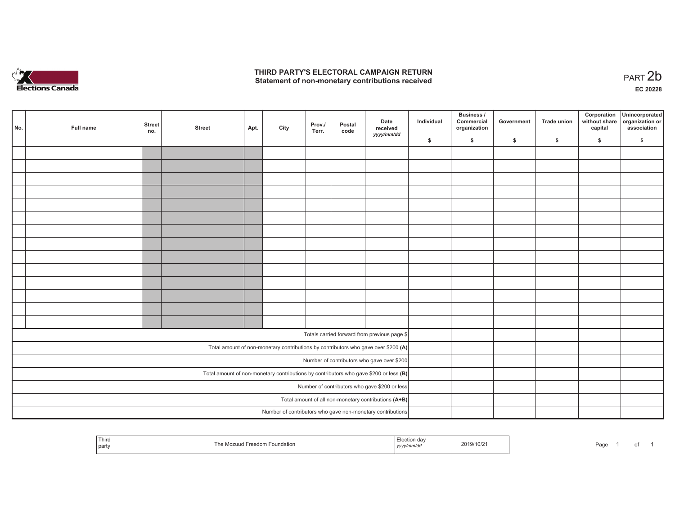

## **THIRD PARTY'S ELECTORAL CAMPAIGN RETURN**  THIRD PARTY'S ELECTORAL CAMPAIGN RETURN<br>Statement of non-monetary contributions received<br> **PART 2b**

1 of 1

| No. | Full name                                                                               | <b>Street</b><br>no. | <b>Street</b> | Apt. | City | Prov./<br>Terr. | Postal<br>code | Date<br>received<br>yyyy/mm/dd                                                     | Individual | <b>Business /</b><br>Commercial<br>organization | Government   | Trade union  | Corporation<br>capital | Unincorporated<br>without share organization or<br>association |
|-----|-----------------------------------------------------------------------------------------|----------------------|---------------|------|------|-----------------|----------------|------------------------------------------------------------------------------------|------------|-------------------------------------------------|--------------|--------------|------------------------|----------------------------------------------------------------|
|     |                                                                                         |                      |               |      |      |                 |                |                                                                                    | \$         | \$                                              | $\mathsf{s}$ | $\mathbf{s}$ | \$                     | \$                                                             |
|     |                                                                                         |                      |               |      |      |                 |                |                                                                                    |            |                                                 |              |              |                        |                                                                |
|     |                                                                                         |                      |               |      |      |                 |                |                                                                                    |            |                                                 |              |              |                        |                                                                |
|     |                                                                                         |                      |               |      |      |                 |                |                                                                                    |            |                                                 |              |              |                        |                                                                |
|     |                                                                                         |                      |               |      |      |                 |                |                                                                                    |            |                                                 |              |              |                        |                                                                |
|     |                                                                                         |                      |               |      |      |                 |                |                                                                                    |            |                                                 |              |              |                        |                                                                |
|     |                                                                                         |                      |               |      |      |                 |                |                                                                                    |            |                                                 |              |              |                        |                                                                |
|     |                                                                                         |                      |               |      |      |                 |                |                                                                                    |            |                                                 |              |              |                        |                                                                |
|     |                                                                                         |                      |               |      |      |                 |                |                                                                                    |            |                                                 |              |              |                        |                                                                |
|     |                                                                                         |                      |               |      |      |                 |                |                                                                                    |            |                                                 |              |              |                        |                                                                |
|     |                                                                                         |                      |               |      |      |                 |                |                                                                                    |            |                                                 |              |              |                        |                                                                |
|     |                                                                                         |                      |               |      |      |                 |                |                                                                                    |            |                                                 |              |              |                        |                                                                |
|     |                                                                                         |                      |               |      |      |                 |                |                                                                                    |            |                                                 |              |              |                        |                                                                |
|     |                                                                                         |                      |               |      |      |                 |                |                                                                                    |            |                                                 |              |              |                        |                                                                |
|     |                                                                                         |                      |               |      |      |                 |                |                                                                                    |            |                                                 |              |              |                        |                                                                |
|     |                                                                                         |                      |               |      |      |                 |                | Totals carried forward from previous page \$                                       |            |                                                 |              |              |                        |                                                                |
|     |                                                                                         |                      |               |      |      |                 |                |                                                                                    |            |                                                 |              |              |                        |                                                                |
|     |                                                                                         |                      |               |      |      |                 |                | Total amount of non-monetary contributions by contributors who gave over \$200 (A) |            |                                                 |              |              |                        |                                                                |
|     |                                                                                         |                      |               |      |      |                 |                | Number of contributors who gave over \$200                                         |            |                                                 |              |              |                        |                                                                |
|     | Total amount of non-monetary contributions by contributors who gave \$200 or less $(B)$ |                      |               |      |      |                 |                |                                                                                    |            |                                                 |              |              |                        |                                                                |
|     | Number of contributors who gave \$200 or less                                           |                      |               |      |      |                 |                |                                                                                    |            |                                                 |              |              |                        |                                                                |
|     |                                                                                         |                      |               |      |      |                 |                | Total amount of all non-monetary contributions (A+B)                               |            |                                                 |              |              |                        |                                                                |
|     |                                                                                         |                      |               |      |      |                 |                | Number of contributors who gave non-monetary contributions                         |            |                                                 |              |              |                        |                                                                |

| i hira<br>par | ⊢oundation<br>ווו7נ | ,,,,<br>11111 | 19/10/2 | Page |
|---------------|---------------------|---------------|---------|------|
|---------------|---------------------|---------------|---------|------|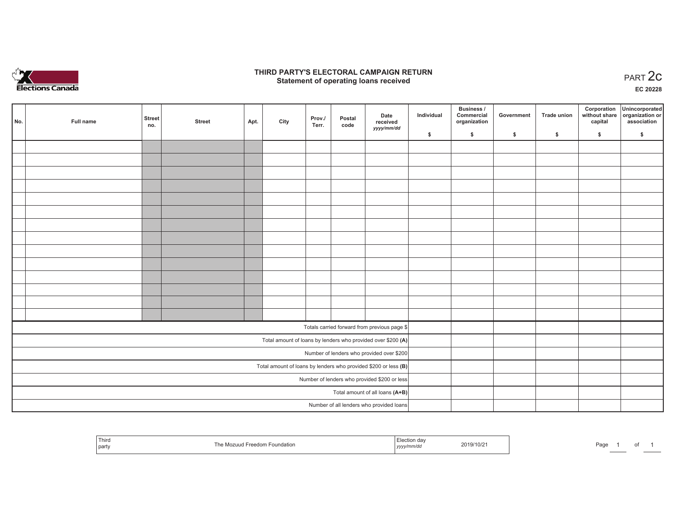

## **THIRD PARTY'S ELECTORAL CAMPAIGN RETURN STATE:** PARTY'S ELECTORAL CAMPAIGN RETURN<br>
Statement of operating loans received

**EC 20228**

| No. | Full name                                    | <b>Street</b><br>no. | <b>Street</b> | Apt. | City | Prov./<br>Terr. | Postal<br>code | Date<br>received<br>yyyy/mm/dd                                  | Individual | <b>Business /</b><br>Commercial<br>organization | Government | <b>Trade union</b> | Corporation<br>capital | Unincorporated<br>without share organization or<br>association |
|-----|----------------------------------------------|----------------------|---------------|------|------|-----------------|----------------|-----------------------------------------------------------------|------------|-------------------------------------------------|------------|--------------------|------------------------|----------------------------------------------------------------|
|     |                                              |                      |               |      |      |                 |                |                                                                 | \$         | \$                                              | \$         | \$                 | \$                     | \$                                                             |
|     |                                              |                      |               |      |      |                 |                |                                                                 |            |                                                 |            |                    |                        |                                                                |
|     |                                              |                      |               |      |      |                 |                |                                                                 |            |                                                 |            |                    |                        |                                                                |
|     |                                              |                      |               |      |      |                 |                |                                                                 |            |                                                 |            |                    |                        |                                                                |
|     |                                              |                      |               |      |      |                 |                |                                                                 |            |                                                 |            |                    |                        |                                                                |
|     |                                              |                      |               |      |      |                 |                |                                                                 |            |                                                 |            |                    |                        |                                                                |
|     |                                              |                      |               |      |      |                 |                |                                                                 |            |                                                 |            |                    |                        |                                                                |
|     |                                              |                      |               |      |      |                 |                |                                                                 |            |                                                 |            |                    |                        |                                                                |
|     |                                              |                      |               |      |      |                 |                |                                                                 |            |                                                 |            |                    |                        |                                                                |
|     |                                              |                      |               |      |      |                 |                |                                                                 |            |                                                 |            |                    |                        |                                                                |
|     |                                              |                      |               |      |      |                 |                |                                                                 |            |                                                 |            |                    |                        |                                                                |
|     |                                              |                      |               |      |      |                 |                |                                                                 |            |                                                 |            |                    |                        |                                                                |
|     |                                              |                      |               |      |      |                 |                |                                                                 |            |                                                 |            |                    |                        |                                                                |
|     |                                              |                      |               |      |      |                 |                |                                                                 |            |                                                 |            |                    |                        |                                                                |
|     |                                              |                      |               |      |      |                 |                |                                                                 |            |                                                 |            |                    |                        |                                                                |
|     |                                              |                      |               |      |      |                 |                | Totals carried forward from previous page \$                    |            |                                                 |            |                    |                        |                                                                |
|     |                                              |                      |               |      |      |                 |                | Total amount of loans by lenders who provided over \$200 (A)    |            |                                                 |            |                    |                        |                                                                |
|     |                                              |                      |               |      |      |                 |                | Number of lenders who provided over \$200                       |            |                                                 |            |                    |                        |                                                                |
|     |                                              |                      |               |      |      |                 |                | Total amount of loans by lenders who provided \$200 or less (B) |            |                                                 |            |                    |                        |                                                                |
|     | Number of lenders who provided \$200 or less |                      |               |      |      |                 |                |                                                                 |            |                                                 |            |                    |                        |                                                                |
|     | Total amount of all loans (A+B)              |                      |               |      |      |                 |                |                                                                 |            |                                                 |            |                    |                        |                                                                |
|     |                                              |                      |               |      |      |                 |                | Number of all lenders who provided loans                        |            |                                                 |            |                    |                        |                                                                |

| Third<br>  part | I Freedom Foundation<br>MOZULIC | . da<br>$\mathbf{u}$<br>$\sim$<br>,,,,, | 2019/10/21 | Page | $\overline{\phantom{a}}$ |  |
|-----------------|---------------------------------|-----------------------------------------|------------|------|--------------------------|--|
|-----------------|---------------------------------|-----------------------------------------|------------|------|--------------------------|--|

Page 1 of 1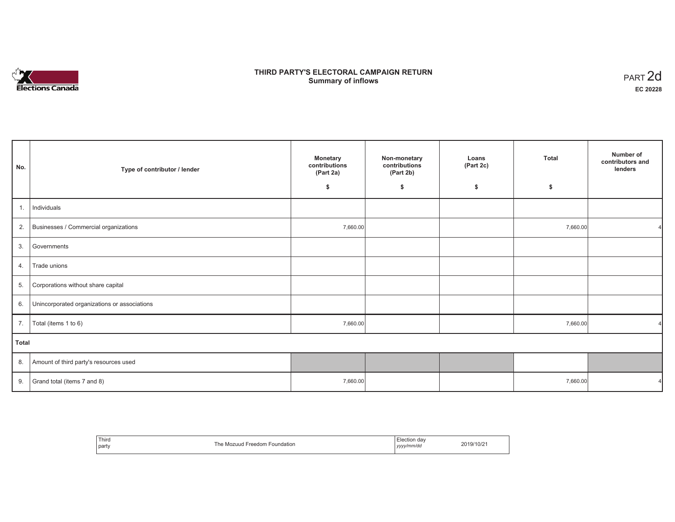

# **THIRD PARTY'S ELECTORAL CAMPAIGN RETURN S** ELECTORAL CAMPAIGN RETURN<br>Summary of inflows PART 2d

| No.   | Type of contributor / lender                    | <b>Monetary</b><br>contributions<br>(Part 2a) | Non-monetary<br>contributions<br>(Part 2b) | Loans<br>(Part 2c) | <b>Total</b> | Number of<br>contributors and<br>lenders |
|-------|-------------------------------------------------|-----------------------------------------------|--------------------------------------------|--------------------|--------------|------------------------------------------|
|       |                                                 | \$                                            | \$                                         | \$                 | \$           |                                          |
| 1.    | Individuals                                     |                                               |                                            |                    |              |                                          |
|       | 2. Businesses / Commercial organizations        | 7,660.00                                      |                                            |                    | 7,660.00     |                                          |
| 3.    | Governments                                     |                                               |                                            |                    |              |                                          |
| 4.    | Trade unions                                    |                                               |                                            |                    |              |                                          |
| 5.    | Corporations without share capital              |                                               |                                            |                    |              |                                          |
|       | 6. Unincorporated organizations or associations |                                               |                                            |                    |              |                                          |
| 7.    | Total (items 1 to 6)                            | 7,660.00                                      |                                            |                    | 7,660.00     |                                          |
| Total |                                                 |                                               |                                            |                    |              |                                          |
|       | 8. Amount of third party's resources used       |                                               |                                            |                    |              |                                          |
| 9.    | Grand total (items 7 and 8)                     | 7,660.00                                      |                                            |                    | 7,660.00     |                                          |

| Third<br>party | `he<br>$r$ <sup>o</sup> $\alpha$ <sup>o</sup> $\alpha$ <sup>n</sup><br>Foundation<br>Mozuud | da<br>vyyy/mm/da<br>,,,, | $19/10/z$ . |
|----------------|---------------------------------------------------------------------------------------------|--------------------------|-------------|
|----------------|---------------------------------------------------------------------------------------------|--------------------------|-------------|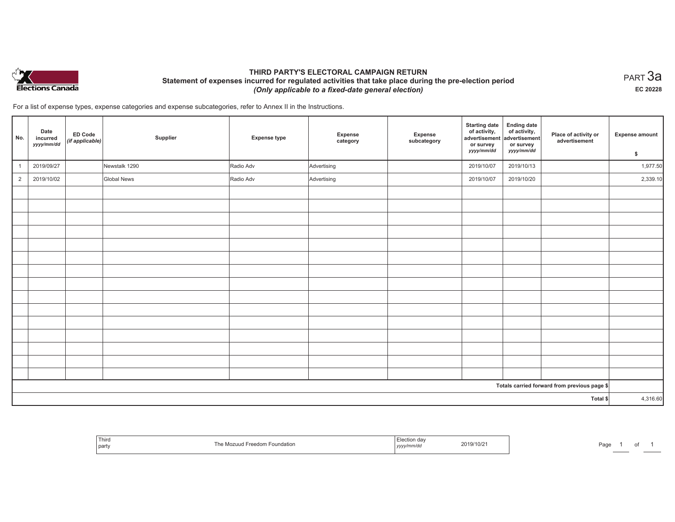

## **THIRD PARTY'S ELECTORAL CAMPAIGN RETURN Statement of expenses incurred for regulated activities that take place during the pre-election period**  *(Only applicable to a fixed-date general election)*

 $_{\sf PART}$ 3a **EC 20228**

For a list of expense types, expense categories and expense subcategories, refer to Annex II in the Instructions.

| No.            | Date<br>incurred<br>yyyy/mm/dd | ED Code<br>(if applicable) | Supplier           | <b>Expense type</b> | Expense<br>category | Expense<br>subcategory | <b>Starting date</b><br>of activity,<br>advertisement<br>or survey<br>yyyy/mm/dd | <b>Ending date</b><br>of activity,<br>advertisement<br>or survey<br>yyyy/mm/dd | Place of activity or<br>advertisement        | <b>Expense amount</b> |
|----------------|--------------------------------|----------------------------|--------------------|---------------------|---------------------|------------------------|----------------------------------------------------------------------------------|--------------------------------------------------------------------------------|----------------------------------------------|-----------------------|
|                |                                |                            |                    |                     |                     |                        |                                                                                  |                                                                                |                                              | \$                    |
| $\overline{1}$ | 2019/09/27                     |                            | Newstalk 1290      | Radio Adv           | Advertising         |                        | 2019/10/07                                                                       | 2019/10/13                                                                     |                                              | 1,977.50              |
| $\overline{2}$ | 2019/10/02                     |                            | <b>Global News</b> | Radio Adv           | Advertising         |                        | 2019/10/07                                                                       | 2019/10/20                                                                     |                                              | 2,339.10              |
|                |                                |                            |                    |                     |                     |                        |                                                                                  |                                                                                |                                              |                       |
|                |                                |                            |                    |                     |                     |                        |                                                                                  |                                                                                |                                              |                       |
|                |                                |                            |                    |                     |                     |                        |                                                                                  |                                                                                |                                              |                       |
|                |                                |                            |                    |                     |                     |                        |                                                                                  |                                                                                |                                              |                       |
|                |                                |                            |                    |                     |                     |                        |                                                                                  |                                                                                |                                              |                       |
|                |                                |                            |                    |                     |                     |                        |                                                                                  |                                                                                |                                              |                       |
|                |                                |                            |                    |                     |                     |                        |                                                                                  |                                                                                |                                              |                       |
|                |                                |                            |                    |                     |                     |                        |                                                                                  |                                                                                |                                              |                       |
|                |                                |                            |                    |                     |                     |                        |                                                                                  |                                                                                |                                              |                       |
|                |                                |                            |                    |                     |                     |                        |                                                                                  |                                                                                |                                              |                       |
|                |                                |                            |                    |                     |                     |                        |                                                                                  |                                                                                |                                              |                       |
|                |                                |                            |                    |                     |                     |                        |                                                                                  |                                                                                |                                              |                       |
|                |                                |                            |                    |                     |                     |                        |                                                                                  |                                                                                |                                              |                       |
|                |                                |                            |                    |                     |                     |                        |                                                                                  |                                                                                |                                              |                       |
|                |                                |                            |                    |                     |                     |                        |                                                                                  |                                                                                |                                              |                       |
|                |                                |                            |                    |                     |                     |                        |                                                                                  |                                                                                | Totals carried forward from previous page \$ |                       |
|                |                                |                            |                    |                     |                     |                        |                                                                                  |                                                                                | Total \$                                     | 4,316.60              |
|                |                                |                            |                    |                     |                     |                        |                                                                                  |                                                                                |                                              |                       |

| Third<br>  party | → Foundation<br>-reeaom<br>″∪∠uu⊾ | ソソソソ | $3/10/2^{-1}$<br>2019/ | ، صد<br>'dG |  |  |
|------------------|-----------------------------------|------|------------------------|-------------|--|--|
|------------------|-----------------------------------|------|------------------------|-------------|--|--|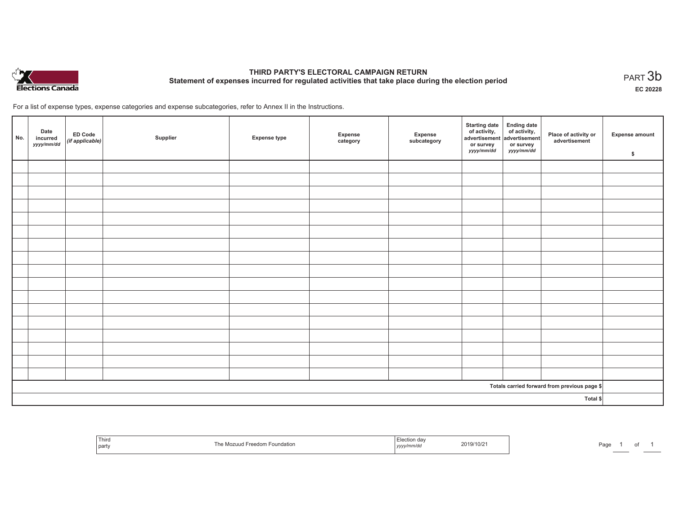

# **THIRD PARTY'S ELECTORAL CAMPAIGN RETURN Statement of expenses incurred for regulated activities that take place during the election period**<br>PART  $3\mathsf{b}$

**EC 20228**

of 1

For a list of expense types, expense categories and expense subcategories, refer to Annex II in the Instructions.

| No.      | Date<br>incurred<br>yyyy/mm/dd | ED Code<br>(if applicable) | Supplier | <b>Expense type</b> | Expense<br>category | Expense<br>subcategory | <b>Starting date</b><br>of activity,<br>advertisement<br>or survey<br>yyyy/mm/dd | Ending date<br>of activity,<br>advertisement<br>or survey<br><i>yyyy/mm/dd</i> | Place of activity or<br>advertisement        | Expense amount<br>\$ |
|----------|--------------------------------|----------------------------|----------|---------------------|---------------------|------------------------|----------------------------------------------------------------------------------|--------------------------------------------------------------------------------|----------------------------------------------|----------------------|
|          |                                |                            |          |                     |                     |                        |                                                                                  |                                                                                |                                              |                      |
|          |                                |                            |          |                     |                     |                        |                                                                                  |                                                                                |                                              |                      |
|          |                                |                            |          |                     |                     |                        |                                                                                  |                                                                                |                                              |                      |
|          |                                |                            |          |                     |                     |                        |                                                                                  |                                                                                |                                              |                      |
|          |                                |                            |          |                     |                     |                        |                                                                                  |                                                                                |                                              |                      |
|          |                                |                            |          |                     |                     |                        |                                                                                  |                                                                                |                                              |                      |
|          |                                |                            |          |                     |                     |                        |                                                                                  |                                                                                |                                              |                      |
|          |                                |                            |          |                     |                     |                        |                                                                                  |                                                                                |                                              |                      |
|          |                                |                            |          |                     |                     |                        |                                                                                  |                                                                                |                                              |                      |
|          |                                |                            |          |                     |                     |                        |                                                                                  |                                                                                |                                              |                      |
|          |                                |                            |          |                     |                     |                        |                                                                                  |                                                                                |                                              |                      |
|          |                                |                            |          |                     |                     |                        |                                                                                  |                                                                                |                                              |                      |
|          |                                |                            |          |                     |                     |                        |                                                                                  |                                                                                |                                              |                      |
|          |                                |                            |          |                     |                     |                        |                                                                                  |                                                                                |                                              |                      |
|          |                                |                            |          |                     |                     |                        |                                                                                  |                                                                                |                                              |                      |
|          |                                |                            |          |                     |                     |                        |                                                                                  |                                                                                |                                              |                      |
|          |                                |                            |          |                     |                     |                        |                                                                                  |                                                                                |                                              |                      |
|          |                                |                            |          |                     |                     |                        |                                                                                  |                                                                                | Totals carried forward from previous page \$ |                      |
| Total \$ |                                |                            |          |                     |                     |                        |                                                                                  |                                                                                |                                              |                      |

| , rhird<br>party |  | $110\%$ | .<br>്ദ്ധല |
|------------------|--|---------|------------|
|------------------|--|---------|------------|